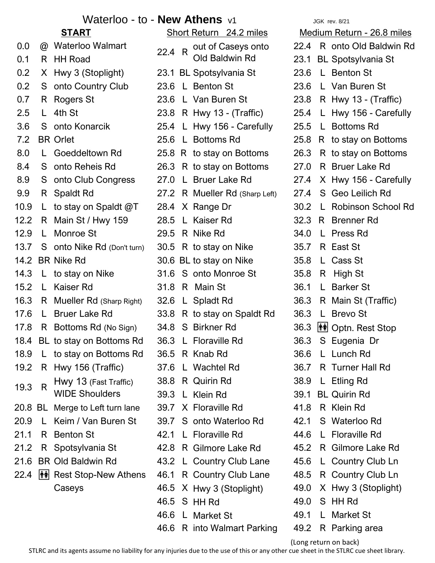## Waterloo - to - **New Athens** v1 JGK rev. 8/21

|         |                                       | <u>START</u>                     | $\tilde{c}$ |
|---------|---------------------------------------|----------------------------------|-------------|
| 0.0     |                                       | @ Waterloo Walmart               | 22.4        |
| 0.1     |                                       | R HH Road                        |             |
| 0.2     |                                       | X Hwy 3 (Stoplight)              | 23.7        |
| $0.2\,$ |                                       | S onto Country Club              | 23.0        |
| 0.7     | R                                     | <b>Rogers St</b>                 | 23.0        |
| 2.5     | L                                     | 4th St                           | 23.8        |
| 3.6     | S                                     | onto Konarcik                    | 25.4        |
| 7.2     |                                       | <b>BR</b> Orlet                  | 25.0        |
| 0.8     | L                                     | Goeddeltown Rd                   | 25.8        |
| 8.4     |                                       | S onto Reheis Rd                 | 26.3        |
| 8.9     |                                       | S onto Club Congress             | 27.0        |
| 9.9     |                                       | R Spaldt Rd                      | 27.2        |
| 10.9    | L.                                    | to stay on Spaldt @T             | 28.4        |
| 12.2    |                                       | R Main St / Hwy 159              | 28.5        |
| 12.9    | L.                                    | Monroe St                        | 29.         |
| 13.7    | S                                     | <b>onto Nike Rd</b> (Don't turn) | 30.5        |
| 14.2    |                                       | <b>BR Nike Rd</b>                | 30.0        |
| 14.3    | L                                     | to stay on Nike                  | 31.0        |
| 15.2    | L.                                    | Kaiser Rd                        | 31.8        |
| 16.3    |                                       | R Mueller Rd (Sharp Right)       | 32.0        |
| 17.6    | L.                                    | <b>Bruer Lake Rd</b>             | 33.         |
| 17.8    | R.                                    | Bottoms Rd (No Sign)             | 34.8        |
| 18.4    |                                       | BL to stay on Bottoms Rd         | 36.3        |
| 18.9    | L                                     | to stay on Bottoms Rd            | 36.5        |
| 19.2    | R.                                    | Hwy 156 (Traffic)                | 37.0        |
| 19.3    | R                                     | Hwy 13 (Fast Traffic)            | 38.         |
|         |                                       | <b>WIDE Shoulders</b>            | 39.3        |
| 20.8    |                                       | BL Merge to Left turn lane       | 39.         |
| 20.9    | L.                                    | Keim / Van Buren St              | 39.         |
| 21.1    | R                                     | <b>Benton St</b>                 | 42.7        |
| 21.2    | R                                     | Spotsylvania St                  | 42.8        |
| 21.6    |                                       | <b>BR Old Baldwin Rd</b>         | 43.         |
| 22.4    | $ \boldsymbol{\dot{\Upsilon}}\rangle$ | <b>Rest Stop-New Athens</b>      | 46.         |
|         |                                       | Caseys                           | 46.         |
|         |                                       |                                  | 46.         |
|         |                                       |                                  | 461         |

1 BL Spotsylvania St 23.6 L Benton St 0.2 S onto Country Club 23.6 L Benton St 23.6 L Van Buren St 4 L Hwy 156 - Carefully 25.5 L Bottoms Rd 12.2 R Main St / Hwy 159 28.5 L Kaiser Rd 32.3 R Brenner Rd 12.9 L Monroe St 29.5 R Nike Rd 34.0 L Press Rd 5 R to stay on Nike 35.7 R East St 6 BL to stay on Nike 35.8 L Cass St 6 S onto Monroe St 35.8 R High St 8 R Main St 36.1 L Barker St 8 R to stay on Spaldt Rd 36.3 L Brevo St 3 L Floraville Rd 36.3 S Eugenia Dr 18.9 L to stay on Bottoms Rd 36.5 R Knab Rd 36.6 L Lunch Rd 38.8 R Quirin Rd 38.9 L Etling Rd 39.3 L Klein Rd 39.1 BL Quirin Rd 7 X Floraville Rd  $30.8$  R Klein Rd 7 S onto Waterloo Rd 42.1 S Waterloo Rd 1 L Floraville Rd 44.6 L Floraville Rd 46.5 S HH Rd 49.0 S HH Rd 46.6 L Market St 49.1 L Market St 46.6 R into Walmart Parking 49.2 R Parking area **Short Return** 24.2 miles out of Caseys onto Old Baldwin Rd R 4

22.4 R onto Old Baldwin Rd 23.1 BL Spotsylvania St  $6 \text{ L}$  Van Buren St 23.8 R Hwy 13 - (Traffic) 8 R Hwy 13 - (Traffic) 25.4 L Hwy 156 - Carefully 6 L Bottoms Rd 25.8 R to stay on Bottoms 8 R to stay on Bottoms 26.3 R to stay on Bottoms 3 R to stay on Bottoms 27.0 R Bruer Lake Rd 0 L Bruer Lake Rd 27.4 X Hwy 156 - Carefully 2 R Mueller Rd (Sharp Left) 27.4 S Geo Leilich Rd 4 X Range Dr 30.2 L Robinson School Rd 16.3 R Mueller Rd (Sharp Right) 32.6 L Spladt Rd 36.3 R Main St (Traffic) 8 S Birkner Rd 36.3 No Solid Rest Stop 6 L Wachtel Rd 36.7 R Turner Hall Rd 21.2 R Gilmore Lake Rd  $12.2$  R Gilmore Lake Rd 2 L Country Club Lane 45.6 L Country Club Ln 1 R Country Club Lane 48.5 R Country Club Ln  $5 \times$  Hwy 3 (Stoplight)  $49.0 \times$  Hwy 3 (Stoplight) Medium Return - 26.8 miles

(Long return on back)

STLRC and its agents assume no liability for any injuries due to the use of this or any other cue sheet in the STLRC cue sheet library.